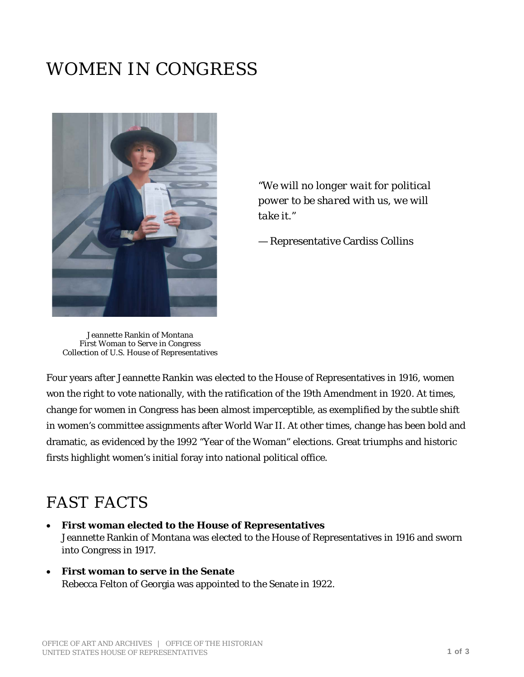## WOMEN IN CONGRESS



*"We will no longer wait for political power to be shared with us, we will take it."*

— Representative Cardiss Collins

Jeannette Rankin of Montana First Woman to Serve in Congress Collection of U.S. House of Representatives

Four years after Jeannette Rankin was elected to the House of Representatives in 1916, women won the right to vote nationally, with the ratification of the 19th Amendment in 1920. At times, change for women in Congress has been almost imperceptible, as exemplified by the subtle shift in women's committee assignments after World War II. At other times, change has been bold and dramatic, as evidenced by the 1992 "Year of the Woman" elections. Great triumphs and historic firsts highlight women's initial foray into national political office.

## FAST FACTS

- **First woman elected to the House of Representatives** Jeannette Rankin of Montana was elected to the House of Representatives in 1916 and sworn into Congress in 1917.
- **First woman to serve in the Senate** Rebecca Felton of Georgia was appointed to the Senate in 1922.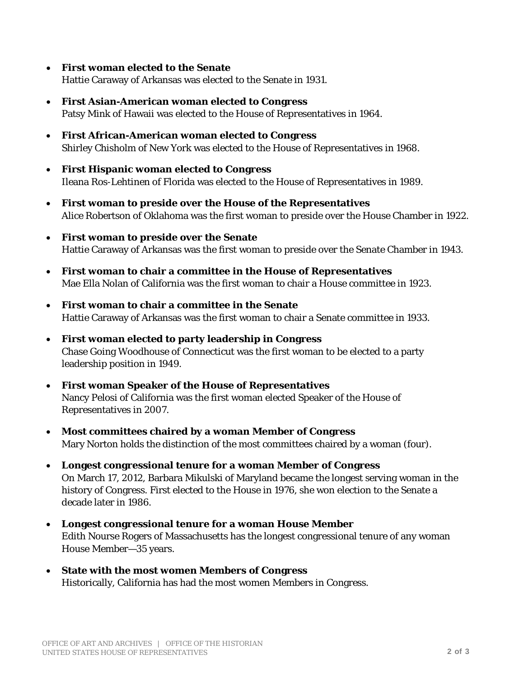- **First woman elected to the Senate** Hattie Caraway of Arkansas was elected to the Senate in 1931.
- **First Asian-American woman elected to Congress** Patsy Mink of Hawaii was elected to the House of Representatives in 1964.
- **First African-American woman elected to Congress** Shirley Chisholm of New York was elected to the House of Representatives in 1968.
- **First Hispanic woman elected to Congress** Ileana Ros-Lehtinen of Florida was elected to the House of Representatives in 1989.
- **First woman to preside over the House of the Representatives** Alice Robertson of Oklahoma was the first woman to preside over the House Chamber in 1922.
- **First woman to preside over the Senate** Hattie Caraway of Arkansas was the first woman to preside over the Senate Chamber in 1943.
- **First woman to chair a committee in the House of Representatives** Mae Ella Nolan of California was the first woman to chair a House committee in 1923.
- **First woman to chair a committee in the Senate** Hattie Caraway of Arkansas was the first woman to chair a Senate committee in 1933.
- **First woman elected to party leadership in Congress** Chase Going Woodhouse of Connecticut was the first woman to be elected to a party leadership position in 1949.
- **First woman Speaker of the House of Representatives** Nancy Pelosi of California was the first woman elected Speaker of the House of Representatives in 2007.
- **Most committees chaired by a woman Member of Congress** Mary Norton holds the distinction of the most committees chaired by a woman (four).
- **Longest congressional tenure for a woman Member of Congress** On March 17, 2012, Barbara Mikulski of Maryland became the longest serving woman in the history of Congress. First elected to the House in 1976, she won election to the Senate a decade later in 1986.
- **Longest congressional tenure for a woman House Member** Edith Nourse Rogers of Massachusetts has the longest congressional tenure of any woman House Member—35 years.
- **State with the most women Members of Congress** Historically, California has had the most women Members in Congress.